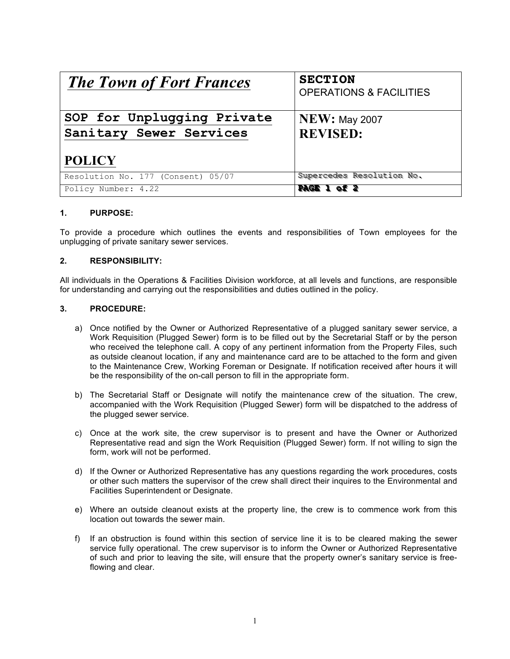| <b>The Town of Fort Frances</b>    | <b>SECTION</b><br><b>OPERATIONS &amp; FACILITIES</b> |
|------------------------------------|------------------------------------------------------|
| SOP for Unplugging Private         | <b>NEW: May 2007</b>                                 |
| Sanitary Sewer Services            | <b>REVISED:</b>                                      |
| <b>POLICY</b>                      |                                                      |
| Resolution No. 177 (Consent) 05/07 | Supercedes Resolution No.                            |
| Policy Number: 4.22                | <b>PAGE 1 of 2</b>                                   |

## **1. PURPOSE:**

To provide a procedure which outlines the events and responsibilities of Town employees for the unplugging of private sanitary sewer services.

## **2. RESPONSIBILITY:**

All individuals in the Operations & Facilities Division workforce, at all levels and functions, are responsible for understanding and carrying out the responsibilities and duties outlined in the policy.

## **3. PROCEDURE:**

- a) Once notified by the Owner or Authorized Representative of a plugged sanitary sewer service, a Work Requisition (Plugged Sewer) form is to be filled out by the Secretarial Staff or by the person who received the telephone call. A copy of any pertinent information from the Property Files, such as outside cleanout location, if any and maintenance card are to be attached to the form and given to the Maintenance Crew, Working Foreman or Designate. If notification received after hours it will be the responsibility of the on-call person to fill in the appropriate form.
- b) The Secretarial Staff or Designate will notify the maintenance crew of the situation. The crew, accompanied with the Work Requisition (Plugged Sewer) form will be dispatched to the address of the plugged sewer service.
- c) Once at the work site, the crew supervisor is to present and have the Owner or Authorized Representative read and sign the Work Requisition (Plugged Sewer) form. If not willing to sign the form, work will not be performed.
- d) If the Owner or Authorized Representative has any questions regarding the work procedures, costs or other such matters the supervisor of the crew shall direct their inquires to the Environmental and Facilities Superintendent or Designate.
- e) Where an outside cleanout exists at the property line, the crew is to commence work from this location out towards the sewer main.
- f) If an obstruction is found within this section of service line it is to be cleared making the sewer service fully operational. The crew supervisor is to inform the Owner or Authorized Representative of such and prior to leaving the site, will ensure that the property owner's sanitary service is freeflowing and clear.